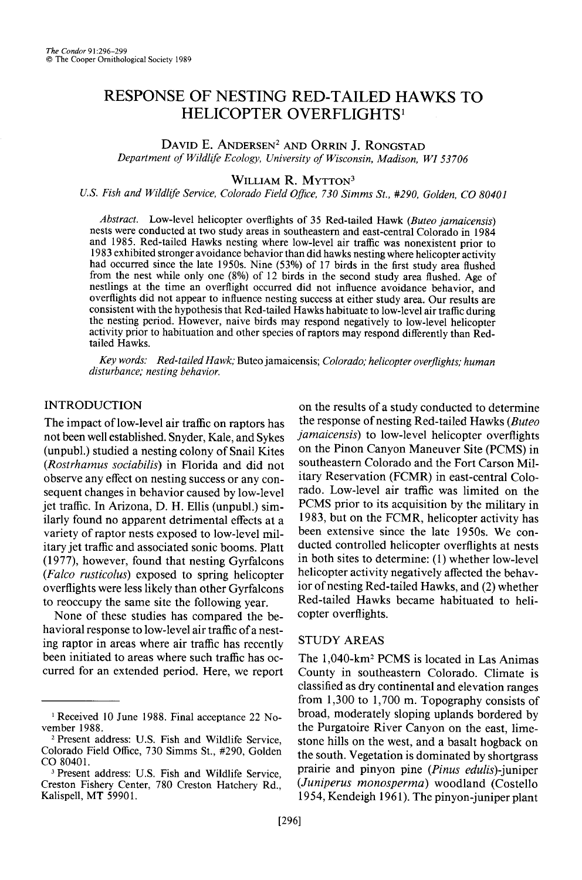# **RESPONSE OF NESTING RED-TAILED HAWKS TO HELICOPTER OVERFLIGHTS<sup>1</sup>**

DAVID E. ANDERSEN<sup>2</sup> AND ORRIN J. RONGSTAD

**Department of Wildlife Ecology, University of Wisconsin, Madison, WI 53706** 

## WILLIAM R. MYTTON<sup>3</sup>

U.S. Fish and Wildlife Service, Colorado Field Office, 730 Simms St., #290, Golden, CO 80401

**Abstract. Low-level helicopter overflights of 35 Red-tailed Hawk (Buteo jamaicensis) nests were conducted at two study areas in southeastern and east-central Colorado in 1984 and 1985. Red-tailed Hawks nesting where low-level air traffic was nonexistent prior to 1983 exhibited stronger avoidance behavior than did hawks nesting where helicopter activity had occurred since the late 1950s. Nine (53%) of 17 birds in the first study area flushed from the nest while only one (8%) of 12 birds in the second study area flushed. Age of nestlings at the time an overflight occurred did not influence avoidance behavior, and overflights did not appear to influence nesting success at either study area. Our results are consistent with the hypothesis that Red-tailed Hawks habituate to low-level air traffic during the nesting period. However, naive birds may respond negatively to low-level helicopter activity prior to habituation and other species of raptors may respond differently than Redtailed Hawks.** 

**Kev words: Red-tailed Hawk: Buteo iamaicensis; Colorado; helicopter overflights; human**  disturbance; nesting behavior.

### **INTRODUCTION**

**The impact of low-level air traffic on raptors has not been well established. Snyder, Kale, and Sykes (unpubl.) studied a nesting colony of Snail Kites (Rostrhamus sociabilis) in Florida and did not observe any effect on nesting success or any consequent changes in behavior caused by low-level jet traffic. In Arizona, D. H. Ellis (unpubl.) similarly found no apparent detrimental effects at a variety of raptor nests exposed to low-level military jet traffic and associated sonic booms. Platt (1977), however, found that nesting Gyrfalcons (Falco rusticolus) exposed to spring helicopter overflights were less likely than other Gyrfalcons to reoccupy the same site the following year.** 

**None of these studies has compared the behavioral response to low-level air traffic of a nesting raptor in areas where air traffic has recently been initiated to areas where such traffic has occurred for an extended period. Here, we report** 

**on the results of a study conducted to determine the response of nesting Red-tailed Hawks (Buteo jamaicensis) to low-level helicopter overflights on the Pinon Canyon Maneuver Site (PCMS) in southeastern Colorado and the Fort Carson Military Reservation (FCMR) in east-central Colorado. Low-level air traffic was limited on the PCMS prior to its acquisition by the military in 1983, but on the FCMR, helicopter activity has been extensive since the late 1950s. We conducted controlled helicopter overflights at nests in both sites to determine: (1) whether low-level helicopter activity negatively affected the behavior of nesting Red-tailed Hawks, and (2) whether Red-tailed Hawks became habituated to helicopter overflights.** 

#### **STUDY AREAS**

**The 1 ,040-km2 PCMS is located in Las Animas County in southeastern Colorado. Climate is classified as dry continental and elevation ranges from 1,300 to 1,700 m. Topography consists of broad, moderately sloping uplands bordered by the Purgatoire River Canyon on the east, limestone hills on the west, and a basalt hogback on the south. Vegetation is dominated by shortgrass prairie and pinyon pine (Pinus edulis)-juniper (Juniperus monosperma) woodland (Costello 1954, Kendeigh 196 1). The pinyon-juniper plant** 

**<sup>&#</sup>x27; Received 10 June 1988. Final acceptance 22 November 1988.** 

**<sup>2</sup> Present address: U.S. Fish and Wildlife Service, Colorado Field Office, 730 Simms St., #290, Golden CO 80401.** 

**<sup>3</sup> Present address: U.S. Fish and Wildlife Service, Creston Fishery Center, 780 Creston Hatchery Rd., Kalispell, MT 59901.**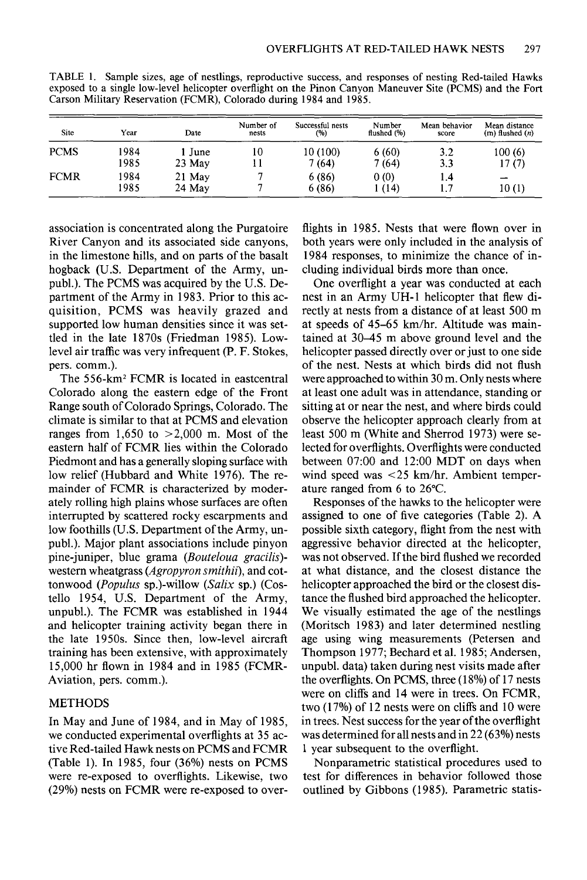| <b>Site</b> | Year         | Date               | Number of<br>nests | Successful nests<br>(%) | Number<br>flushed (%) | Mean behavior<br>score | Mean distance<br>$(m)$ flushed $(n)$ |
|-------------|--------------|--------------------|--------------------|-------------------------|-----------------------|------------------------|--------------------------------------|
| <b>PCMS</b> | 1984<br>1985 | June<br>23 May     | 10                 | 10 (100)<br>7 (64)      | 6(60)<br>7(64)        | 3.2<br>3.3             | 100(6)<br>17 (7)                     |
| <b>FCMR</b> | 1984<br>1985 | 21 May<br>$24$ May |                    | 6(86)<br>6 (86)         | 0(0)<br>1 (14)        | 1.4<br>1.7             | 10(1)                                |

**TABLE 1. Sample sizes, age of nestlings, reproductive success, and responses of nesting Red-tailed Hawks exposed to a single low-level helicopter overflight on the Pinon Canyon Maneuver Site (PCMS) and the Fort Carson Military Reservation (FCMR), Colorado during 1984 and 1985.** 

**association is concentrated along the Purgatoire River Canyon and its associated side canyons, in the limestone hills, and on parts of the basalt hogback (U.S. Department of the Army, unpubl.). The PCMS was acquired by the U.S. Department of the Army in 1983. Prior to this acquisition, PCMS was heavily grazed and supported low human densities since it was settled in the late 1870s (Friedman 1985). Lowlevel air traffic was very infrequent (P. F. Stokes, pers. comm.).** 

**The 556-km2 FCMR is located in eastcentral Colorado along the eastern edge of the Front Range south of Colorado Springs, Colorado. The climate is similar to that at PCMS and elevation ranges from 1,650 to >2,000 m. Most of the eastern half of FCMR lies within the Colorado Piedmont and has a generally sloping surface with low relief (Hubbard and White 1976). The remainder of FCMR is characterized by moderately rolling high plains whose surfaces are often interrupted by scattered rocky escarpments and low foothills (U.S. Department of the Army, unpubl.). Major plant associations include pinyon**  pine-juniper, blue grama (Bouteloua gracilis)**western wheatgrass (Agropyron smithii), and cot**tonwood (Populus sp.)-willow (Salix sp.) (Cos**tello 1954, U.S. Department of the Army, unpubl.). The FCMR was established in 1944 and helicopter training activity began there in the late 1950s. Since then, low-level aircraft training has been extensive, with approximately 15,000 hr flown in 1984 and in 1985 (FCMR-Aviation, pers. comm.).** 

## **METHODS**

**In May and June of 1984, and in May of 1985, we conducted experimental overflights at 35 active Red-tailed Hawk nests on PCMS and FCMR (Table 1). In 1985, four (36%) nests on PCMS were re-exposed to overflights. Likewise, two (29%) nests on FCMR were re-exposed to over-**

**flights in 1985. Nests that were flown over in both years were only included in the analysis of 1984 responses, to minimize the chance of including individual birds more than once.** 

**One overflight a year was conducted at each nest in an Army UH-1 helicopter that flew directly at nests from a distance of at least 500 m at speeds of 45-65 km/hr. Altitude was maintained at 30-45 m above ground level and the helicopter passed directly over or just to one side of the nest. Nests at which birds did not flush were approached to within 30 m. Only nests where at least one adult was in attendance, standing or sitting at or near the nest, and where birds could observe the helicopter approach clearly from at least 500 m (White and Sherrod 1973) were selected for overflights. Overflights were conducted between 07:OO and 12:00 MDT on days when**  wind speed was <25 km/hr. Ambient temper**ature ranged from 6 to 26°C.** 

**Responses of the hawks to the helicopter were assigned to one of five categories (Table 2). A possible sixth category, flight from the nest with aggressive behavior directed at the helicopter,**  was not observed. If the bird flushed we recorded **at what distance, and the closest distance the helicopter approached the bird or the closest distance the flushed bird approached the helicopter. We visually estimated the age of the nestlings (Moritsch 1983) and later determined nestling age using wing measurements (Petersen and Thompson 1977; Bechard et al. 1985; Andersen, unpubl. data) taken during nest visits made after the overflights. On PCMS, three (18%) of 17 nests were on cliffs and 14 were in trees. On FCMR, two (17%) of 12 nests were on cliffs and 10 were in trees. Nest success for the year of the overflight was determined for all nests and in 22 (63%) nests 1 year subsequent to the overflight.** 

**Nonparametric statistical procedures used to test for differences in behavior followed those outlined by Gibbons (1985). Parametric statis-**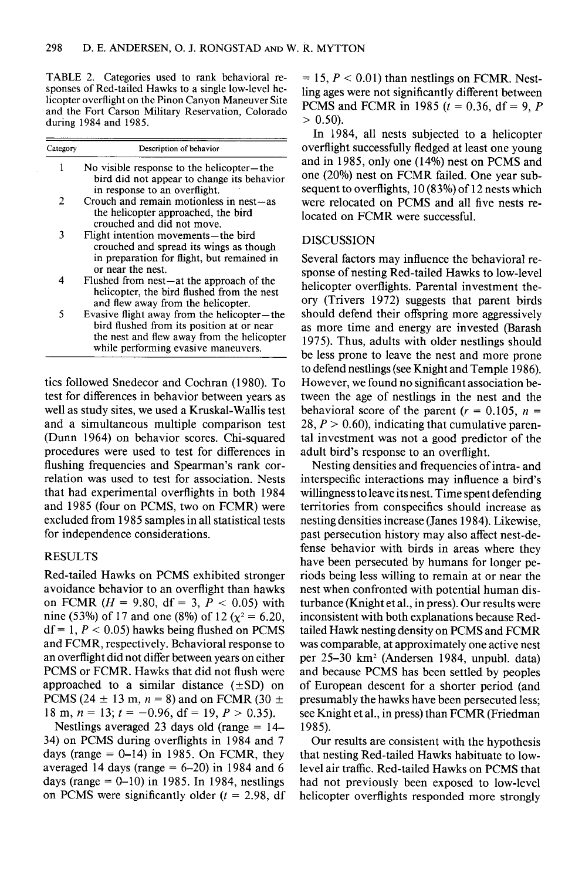**TABLE 2. Categories used to rank behavioral re**sponses of Red-tailed Hawks to a single low-level he**licopter overflight on the Pinon Canyon Maneuver Site and the Fort Carson Military Reservation, Colorado during 1984 and 1985.** 

| Category | Description of behavior                                                                                                                                                       |
|----------|-------------------------------------------------------------------------------------------------------------------------------------------------------------------------------|
| 1        | No visible response to the helicopter—the<br>bird did not appear to change its behavior<br>in response to an overflight.                                                      |
| 2        | Crouch and remain motionless in nest—as<br>the helicopter approached, the bird<br>crouched and did not move.                                                                  |
| 3        | Flight intention movements—the bird<br>crouched and spread its wings as though<br>in preparation for flight, but remained in<br>or near the nest.                             |
| 4        | Flushed from nest—at the approach of the<br>helicopter, the bird flushed from the nest<br>and flew away from the helicopter.                                                  |
| 5        | Evasive flight away from the helicopter—the<br>bird flushed from its position at or near<br>the nest and flew away from the helicopter<br>while performing evasive maneuvers. |

**tics followed Snedecor and Cochran (1980). To test for differences in behavior between years as well as study sites, we used a Kruskal-Wallis test and a simultaneous multiple comparison test (Dunn 1964) on behavior scores. Chi-squared procedures were used to test for differences in flushing frequencies and Spearman's rank correlation was used to test for association. Nests that had experimental overflights in both 1984 and 1985 (four on PCMS, two on FCMR) were excluded from 1985 samples in all statistical tests for independence considerations.** 

## **RESULTS**

**Red-tailed Hawks on PCMS exhibited stronger avoidance behavior to an overflight than hawks**  on FCMR ( $H = 9.80$ , df = 3,  $P < 0.05$ ) with nine (53%) of 17 and one (8%) of 12 ( $\chi^2$  = 6.20,  $df = 1, P < 0.05$  hawks being flushed on PCMS **and FCMR, respectively. Behavioral response to an overflight did not differ between years on either PCMS or FCMR. Hawks that did not flush were**  approached to a similar distance  $(\pm SD)$  on **PCMS (24**  $\pm$  **13 m, n = 8) and on FCMR (30**  $\pm$ 18 m,  $n = 13$ ;  $t = -0.96$ ,  $df = 19$ ,  $P > 0.35$ ).

**Nestlings averaged 23 days old (range = 14- 34) on PCMS during overflights in 1984 and 7 days (range = O-14) in 1985. On FCMR, they averaged 14 days (range = 6-20) in 1984 and 6 days (range = O-IO) in 1985. In 1984, nestlings**  on PCMS were significantly older  $(t = 2.98, df)$ 

 $= 15, P < 0.01$ ) than nestlings on FCMR. Nest**ling ages were not significantly different between PCMS** and **FCMR** in 1985 ( $t = 0.36$ , df = 9, *P*  $> 0.50$ ).

**In 1984, all nests subjected to a helicopter overflight successfully fledged at least one young and in 1985, only one (14%) nest on PCMS and one (20%) nest on FCMR failed. One year subsequent to overflights, 10 (83%) of 12 nests which were relocated on PCMS and all five nests relocated on FCMR were successful.** 

#### **DISCUSSION**

**Several factors may influence the behavioral response of nesting Red-tailed Hawks to low-level helicopter overflights. Parental investment theory (Trivers 1972) suggests that parent birds should defend their offspring more aggressively as more time and energy are invested (Barash 1975). Thus, adults with older nestlings should be less prone to leave the nest and more prone to defend nestlings (see Knight and Temple 1986). However, we found no significant association between the age of nestlings in the nest and the**  behavioral score of the parent  $(r = 0.105, n =$ 28,  $P > 0.60$ ), indicating that cumulative paren**tal investment was not a good predictor of the adult bird's response to an overflight.** 

**Nesting densities and frequencies of intra- and interspecific interactions may influence a bird's willingness to leave its nest. Time spent defending territories from conspecifics should increase as nesting densities increase (Janes 1984). Likewise, past persecution history may also affect nest-defense behavior with birds in areas where they have been persecuted by humans for longer periods being less willing to remain at or near the nest when confronted with potential human disturbance (Knight et al., in press). Our results were inconsistent with both explanations because Redtailed Hawk nesting density on PCMS and FCMR was comparable, at approximately one active nest per 25-30 km2 (Andersen 1984, unpubl. data) and because PCMS has been settled by peoples of European descent for a shorter period (and presumably the hawks have been persecuted less; see Knight et al., in press) than FCMR (Friedman 1985).** 

**Our results are consistent with the hypothesis that nesting Red-tailed Hawks habituate to lowlevel air traffic. Red-tailed Hawks on PCMS that had not previously been exposed to low-level helicopter overflights responded more strongly**